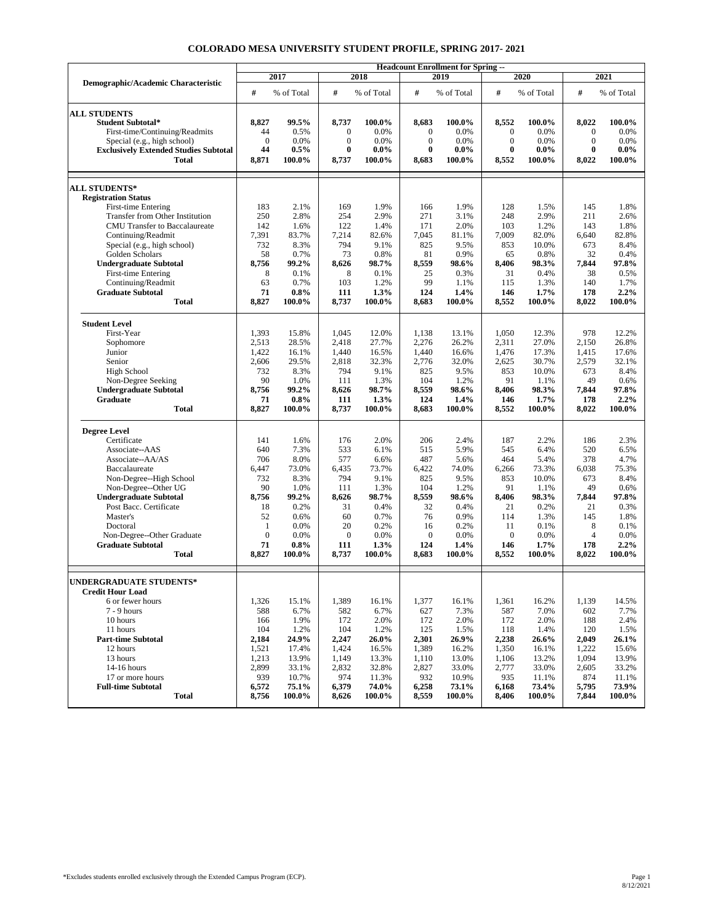|                                                        | <b>Headcount Enrollment for Spring --</b> |                   |                    |                |                    |                |                    |                |                     |                |  |
|--------------------------------------------------------|-------------------------------------------|-------------------|--------------------|----------------|--------------------|----------------|--------------------|----------------|---------------------|----------------|--|
| Demographic/Academic Characteristic                    | 2017                                      |                   | 2018               |                | 2019               |                | 2020               |                | 2021                |                |  |
|                                                        | #                                         | % of Total        | #                  | % of Total     | #                  | % of Total     | #                  | % of Total     | #                   | % of Total     |  |
| <b>ALL STUDENTS</b>                                    |                                           |                   |                    |                |                    |                |                    |                |                     |                |  |
| <b>Student Subtotal*</b>                               | 8,827                                     | 99.5%             | 8,737              | 100.0%         | 8,683              | 100.0%         | 8,552              | 100.0%         | 8,022               | 100.0%         |  |
| First-time/Continuing/Readmits                         | 44                                        | 0.5%              | $\boldsymbol{0}$   | 0.0%           | $\boldsymbol{0}$   | 0.0%           | $\mathbf{0}$       | 0.0%           | $\mathbf{0}$        | 0.0%           |  |
| Special (e.g., high school)                            | $\mathbf{0}$                              | 0.0%              | $\mathbf{0}$       | 0.0%           | $\mathbf{0}$       | 0.0%           | $\mathbf{0}$       | 0.0%           | $\mathbf{0}$        | 0.0%           |  |
| <b>Exclusively Extended Studies Subtotal</b>           | 44                                        | $0.5\%$           | $\bf{0}$           | $0.0\%$        | $\bf{0}$           | $0.0\%$        | $\bf{0}$           | $0.0\%$        | $\bf{0}$            | $0.0\%$        |  |
| <b>Total</b>                                           | 8,871                                     | 100.0%            | 8,737              | 100.0%         | 8,683              | 100.0%         | 8,552              | 100.0%         | 8,022               | 100.0%         |  |
| <b>ALL STUDENTS*</b>                                   |                                           |                   |                    |                |                    |                |                    |                |                     |                |  |
| <b>Registration Status</b>                             |                                           |                   |                    |                |                    |                |                    |                |                     |                |  |
| First-time Entering                                    | 183                                       | 2.1%              | 169                | 1.9%           | 166                | 1.9%           | 128                | 1.5%           | 145                 | 1.8%           |  |
| Transfer from Other Institution                        | 250                                       | 2.8%              | 254                | 2.9%           | 271                | 3.1%           | 248                | 2.9%           | 211                 | 2.6%           |  |
| <b>CMU</b> Transfer to Baccalaureate                   | 142                                       | 1.6%              | 122                | 1.4%           | 171                | 2.0%           | 103                | 1.2%           | 143                 | 1.8%           |  |
| Continuing/Readmit                                     | 7,391                                     | 83.7%             | 7,214              | 82.6%          | 7,045              | 81.1%          | 7,009              | 82.0%          | 6,640               | 82.8%          |  |
| Special (e.g., high school)                            | 732                                       | 8.3%              | 794                | 9.1%           | 825                | 9.5%           | 853                | 10.0%          | 673                 | 8.4%           |  |
| Golden Scholars                                        | 58                                        | 0.7%              | 73                 | 0.8%           | 81                 | 0.9%           | 65                 | 0.8%           | 32                  | 0.4%           |  |
| <b>Undergraduate Subtotal</b>                          | 8,756                                     | 99.2%             | 8,626              | 98.7%          | 8,559              | 98.6%          | 8,406              | 98.3%          | 7,844               | 97.8%          |  |
| First-time Entering                                    | 8                                         | 0.1%              | 8                  | 0.1%           | 25                 | 0.3%           | 31                 | 0.4%           | 38                  | 0.5%           |  |
| Continuing/Readmit                                     | 63                                        | 0.7%              | 103                | 1.2%           | 99                 | 1.1%           | 115                | 1.3%           | 140                 | 1.7%           |  |
| <b>Graduate Subtotal</b>                               | 71                                        | $0.8\%$           | 111                | 1.3%           | 124                | 1.4%           | 146                | $1.7\%$        | 178                 | 2.2%           |  |
| <b>Total</b>                                           | 8,827                                     | 100.0%            | 8,737              | 100.0%         | 8,683              | 100.0%         | 8,552              | 100.0%         | 8,022               | 100.0%         |  |
| <b>Student Level</b>                                   |                                           |                   |                    |                |                    |                |                    |                |                     |                |  |
| First-Year                                             | 1,393                                     | 15.8%             | 1,045              | 12.0%          | 1,138              | 13.1%          | 1,050              | 12.3%          | 978                 | 12.2%          |  |
| Sophomore                                              | 2,513                                     | 28.5%             | 2,418              | 27.7%          | 2,276              | 26.2%          | 2,311              | 27.0%          | 2,150               | 26.8%          |  |
| Junior                                                 | 1,422                                     | 16.1%             | 1,440              | 16.5%          | 1,440              | 16.6%          | 1,476              | 17.3%          | 1,415               | 17.6%          |  |
| Senior                                                 | 2,606                                     | 29.5%             | 2,818              | 32.3%          | 2,776              | 32.0%          | 2,625              | 30.7%          | 2,579               | 32.1%          |  |
| High School                                            | 732                                       | 8.3%              | 794                | 9.1%           | 825                | 9.5%           | 853                | 10.0%          | 673                 | 8.4%           |  |
| Non-Degree Seeking                                     | 90                                        | 1.0%              | 111                | 1.3%           | 104                | 1.2%           | 91                 | 1.1%           | 49                  | 0.6%           |  |
| <b>Undergraduate Subtotal</b>                          | 8,756                                     | 99.2%             | 8,626              | 98.7%          | 8,559              | 98.6%          | 8,406              | 98.3%          | 7,844               | 97.8%          |  |
| Graduate<br><b>Total</b>                               | 71<br>8,827                               | $0.8\%$<br>100.0% | 111<br>8,737       | 1.3%<br>100.0% | 124<br>8,683       | 1.4%<br>100.0% | 146<br>8,552       | 1.7%<br>100.0% | 178<br>8,022        | 2.2%<br>100.0% |  |
|                                                        |                                           |                   |                    |                |                    |                |                    |                |                     |                |  |
| <b>Degree Level</b>                                    |                                           |                   |                    |                |                    |                |                    |                |                     |                |  |
| Certificate                                            | 141                                       | 1.6%              | 176                | 2.0%           | 206                | 2.4%           | 187                | 2.2%           | 186                 | 2.3%           |  |
| Associate--AAS                                         | 640                                       | 7.3%              | 533                | 6.1%           | 515                | 5.9%           | 545                | 6.4%           | 520                 | 6.5%           |  |
| Associate--AA/AS                                       | 706                                       | 8.0%              | 577                | 6.6%           | 487                | 5.6%           | 464                | 5.4%           | 378                 | 4.7%           |  |
| Baccalaureate                                          | 6,447                                     | 73.0%             | 6,435              | 73.7%          | 6,422              | 74.0%          | 6,266              | 73.3%          | 6,038               | 75.3%          |  |
| Non-Degree--High School                                | 732                                       | 8.3%              | 794                | 9.1%           | 825                | 9.5%           | 853                | 10.0%          | 673                 | 8.4%           |  |
| Non-Degree--Other UG                                   | 90                                        | 1.0%              | 111                | 1.3%           | 104                | 1.2%           | 91                 | 1.1%           | 49                  | 0.6%           |  |
| <b>Undergraduate Subtotal</b>                          | 8,756                                     | 99.2%             | 8,626              | 98.7%          | 8,559              | 98.6%          | 8,406              | 98.3%          | 7,844               | 97.8%          |  |
| Post Bacc. Certificate                                 | 18                                        | 0.2%              | 31                 | 0.4%           | 32                 | 0.4%           | 21                 | 0.2%           | 21                  | 0.3%           |  |
| Master's                                               | 52                                        | 0.6%              | 60                 | 0.7%           | 76                 | 0.9%           | 114                | 1.3%           | 145                 | 1.8%           |  |
| Doctoral                                               | $\mathbf{1}$<br>$\overline{0}$            | 0.0%              | 20<br>$\mathbf{0}$ | 0.2%<br>0.0%   | 16<br>$\mathbf{0}$ | 0.2%           | 11<br>$\mathbf{0}$ | 0.1%           | 8<br>$\overline{4}$ | 0.1%           |  |
| Non-Degree--Other Graduate<br><b>Graduate Subtotal</b> | 71                                        | 0.0%<br>$0.8\%$   | 111                | 1.3%           | 124                | 0.0%<br>1.4%   | 146                | 0.0%<br>1.7%   | 178                 | 0.0%<br>2.2%   |  |
| <b>Total</b>                                           | 8,827                                     | 100.0%            | 8,737              | 100.0%         | 8,683              | 100.0%         | 8,552              | 100.0%         | 8,022               | 100.0%         |  |
|                                                        |                                           |                   |                    |                |                    |                |                    |                |                     |                |  |
| <b>UNDERGRADUATE STUDENTS*</b>                         |                                           |                   |                    |                |                    |                |                    |                |                     |                |  |
| <b>Credit Hour Load</b>                                |                                           |                   |                    |                |                    |                |                    |                |                     |                |  |
| 6 or fewer hours                                       | 1,326                                     | 15.1%             | 1,389              | 16.1%          | 1,377              | 16.1%          | 1,361              | 16.2%          | 1,139               | 14.5%          |  |
| 7 - 9 hours                                            | 588                                       | 6.7%              | 582                | 6.7%           | 627                | 7.3%           | 587                | 7.0%           | 602                 | 7.7%           |  |
| 10 hours<br>11 hours                                   | 166<br>104                                | 1.9%              | 172                | 2.0%<br>1.2%   | 172<br>125         | 2.0%           | 172<br>118         | 2.0%           | 188                 | 2.4%           |  |
| <b>Part-time Subtotal</b>                              | 2,184                                     | 1.2%              | 104                |                |                    | 1.5%           |                    | 1.4%           | 120                 | 1.5%           |  |
| 12 hours                                               | 1,521                                     | 24.9%<br>17.4%    | 2,247<br>1,424     | 26.0%<br>16.5% | 2,301<br>1,389     | 26.9%<br>16.2% | 2,238<br>1,350     | 26.6%<br>16.1% | 2,049<br>1,222      | 26.1%<br>15.6% |  |
| 13 hours                                               | 1,213                                     | 13.9%             | 1,149              | 13.3%          | 1,110              | 13.0%          | 1,106              | 13.2%          | 1,094               | 13.9%          |  |
| 14-16 hours                                            | 2,899                                     | 33.1%             | 2,832              | 32.8%          | 2,827              | 33.0%          | 2,777              | 33.0%          | 2,605               | 33.2%          |  |
| 17 or more hours                                       | 939                                       | 10.7%             | 974                | 11.3%          | 932                | 10.9%          | 935                | 11.1%          | 874                 | 11.1%          |  |
| <b>Full-time Subtotal</b>                              | 6,572                                     | 75.1%             | 6,379              | 74.0%          | 6,258              | 73.1%          | 6,168              | 73.4%          | 5,795               | 73.9%          |  |
| <b>Total</b>                                           | 8,756                                     | 100.0%            | 8,626              | 100.0%         | 8,559              | 100.0%         | 8,406              | 100.0%         | 7,844               | 100.0%         |  |
|                                                        |                                           |                   |                    |                |                    |                |                    |                |                     |                |  |